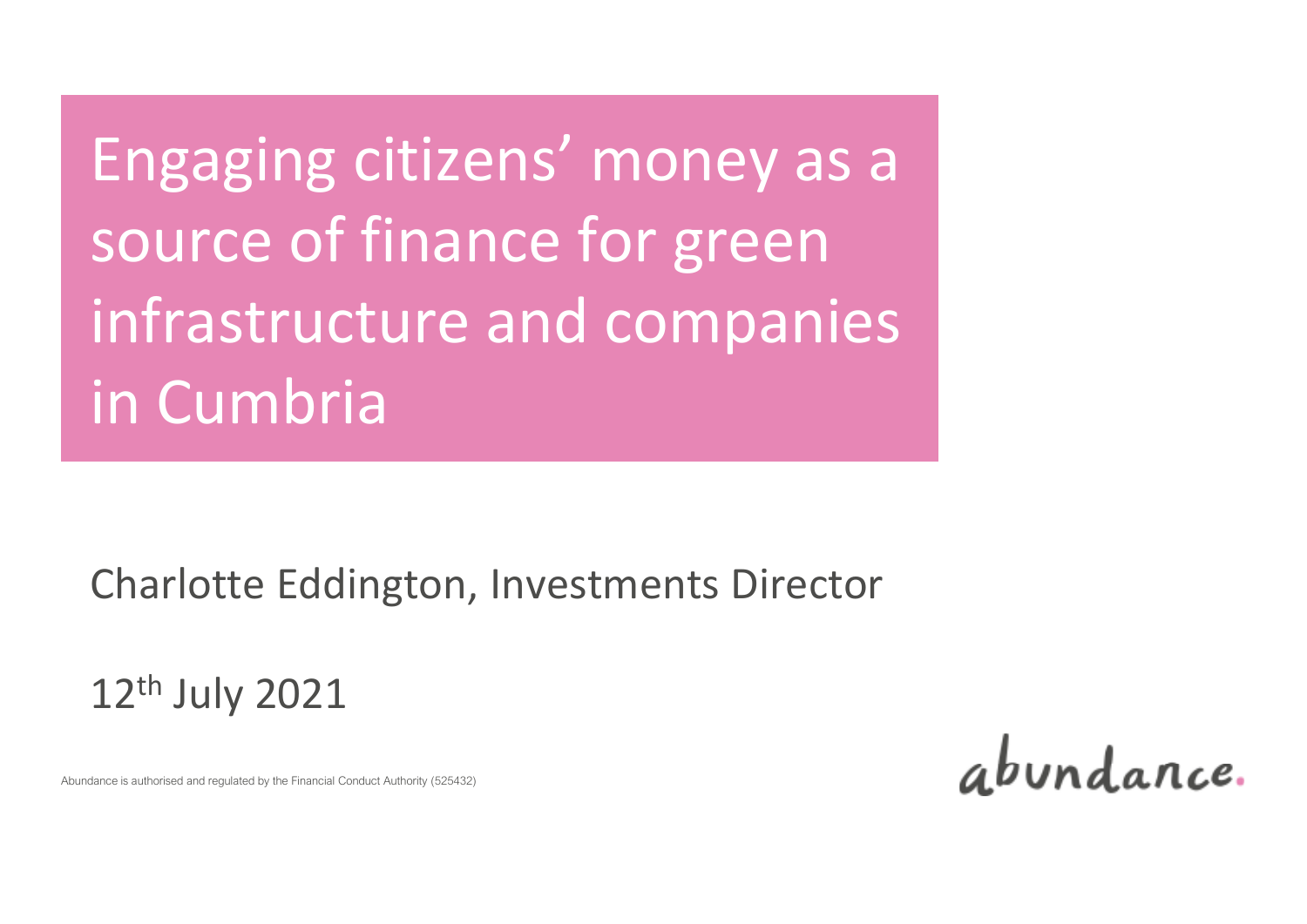# Engaging citizens' money as a source of finance for green infrastructure and companies in Cumbria

Charlotte Eddington, Investments Director

12th July 2021

abundance.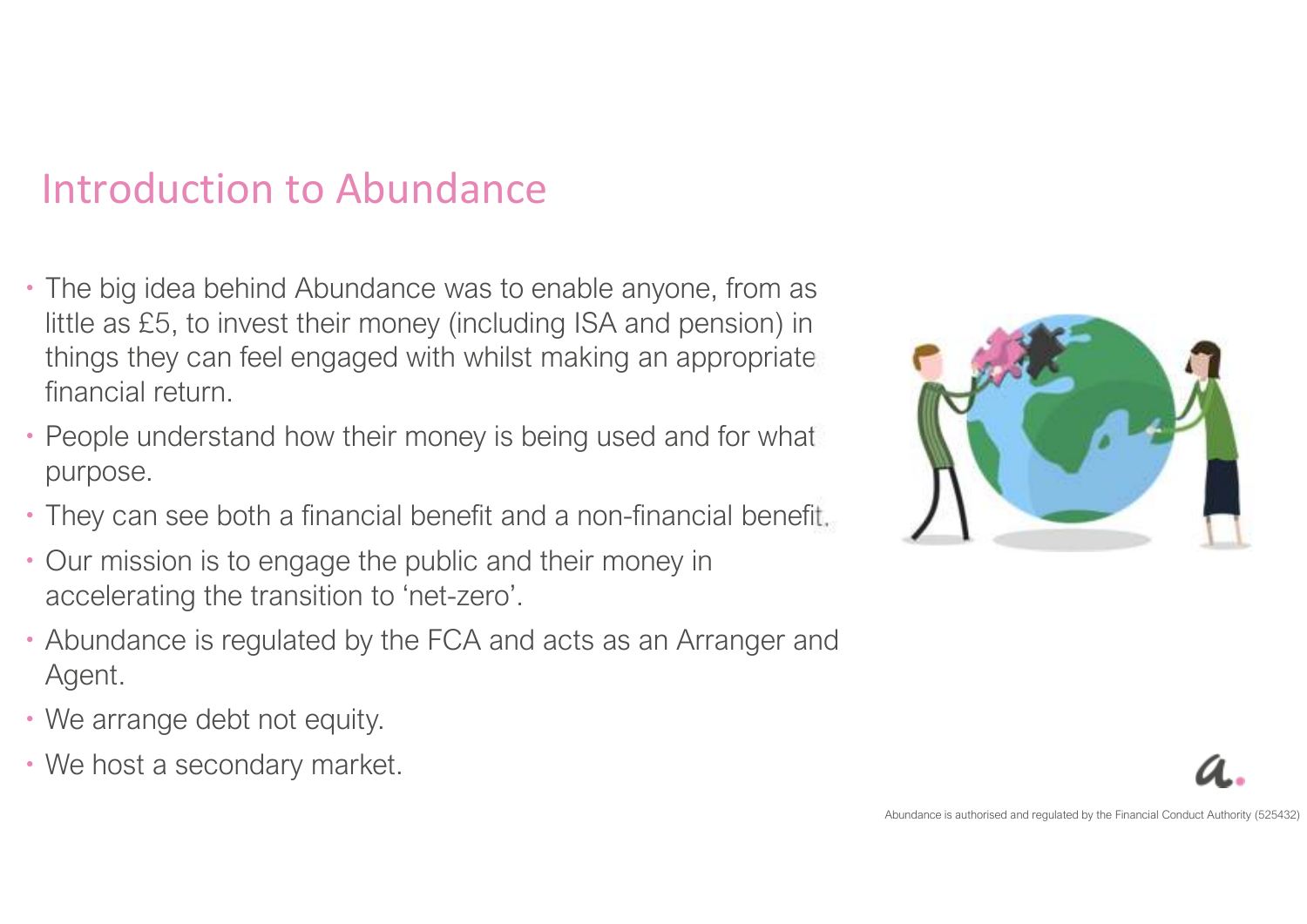### Introduction to Abundance

- The big idea behind Abundance was to enable anyone, from as little as £5, to invest their money (including ISA and pension) in things they can feel engaged with whilst making an appropriate financial return.
- People understand how their money is being used and for what purpose.
- They can see both a financial benefit and a non-financial benefit.
- Our mission is to engage the public and their money in accelerating the transition to 'net-zero'.
- Abundance is regulated by the FCA and acts as an Arranger and Agent.
- We arrange debt not equity.
- We host a secondary market.



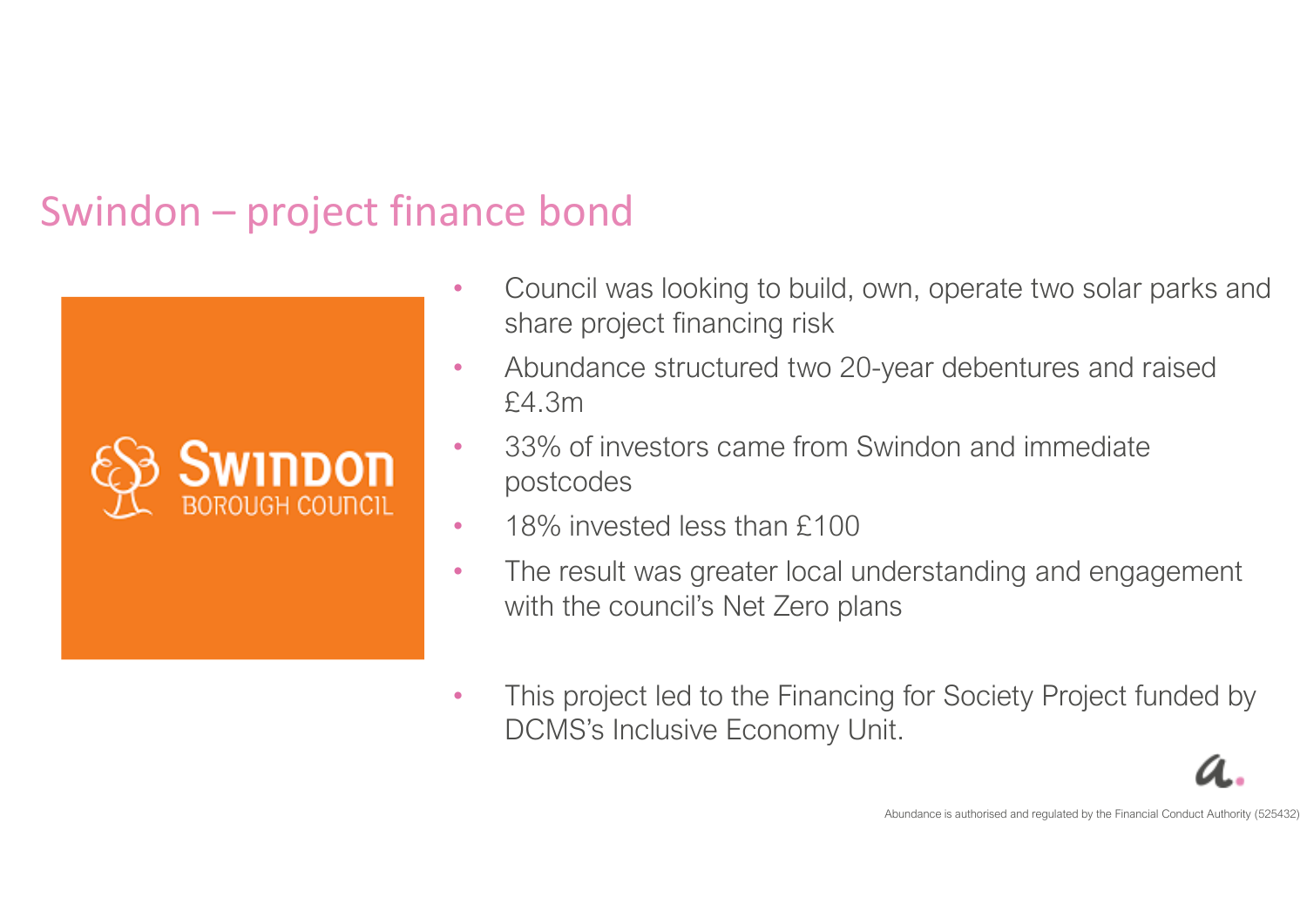## Swindon – project finance bond



- • Council was looking to build, own, operate two solar parks and share project financing risk
- • Abundance structured two 20-year debentures and raised £4.3m
- • 33% of investors came from Swindon and immediate postcodes
- •18% invested less than £100
- $\bullet$  The result was greater local understanding and engagement with the council's Net Zero plans
- • This project led to the Financing for Society Project funded by DCMS's Inclusive Economy Unit.

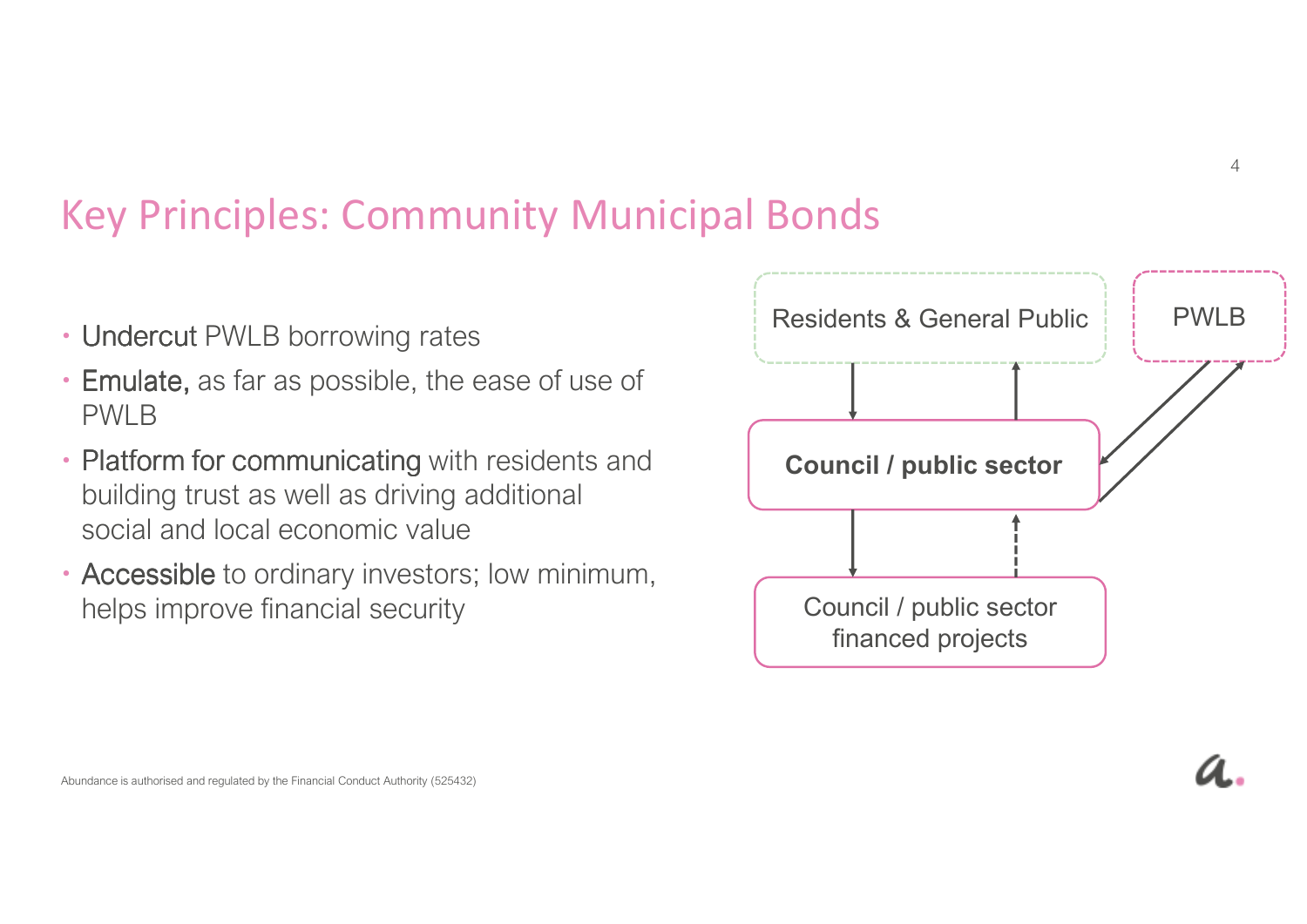### Key Principles: Community Municipal Bonds

- Undercut PWLB borrowing rates
- **Emulate,** as far as possible, the ease of use of PWLB
- Platform for communicating with residents and building trust as well as driving additional social and local economic value
- Accessible to ordinary investors; low minimum, helps improve financial security

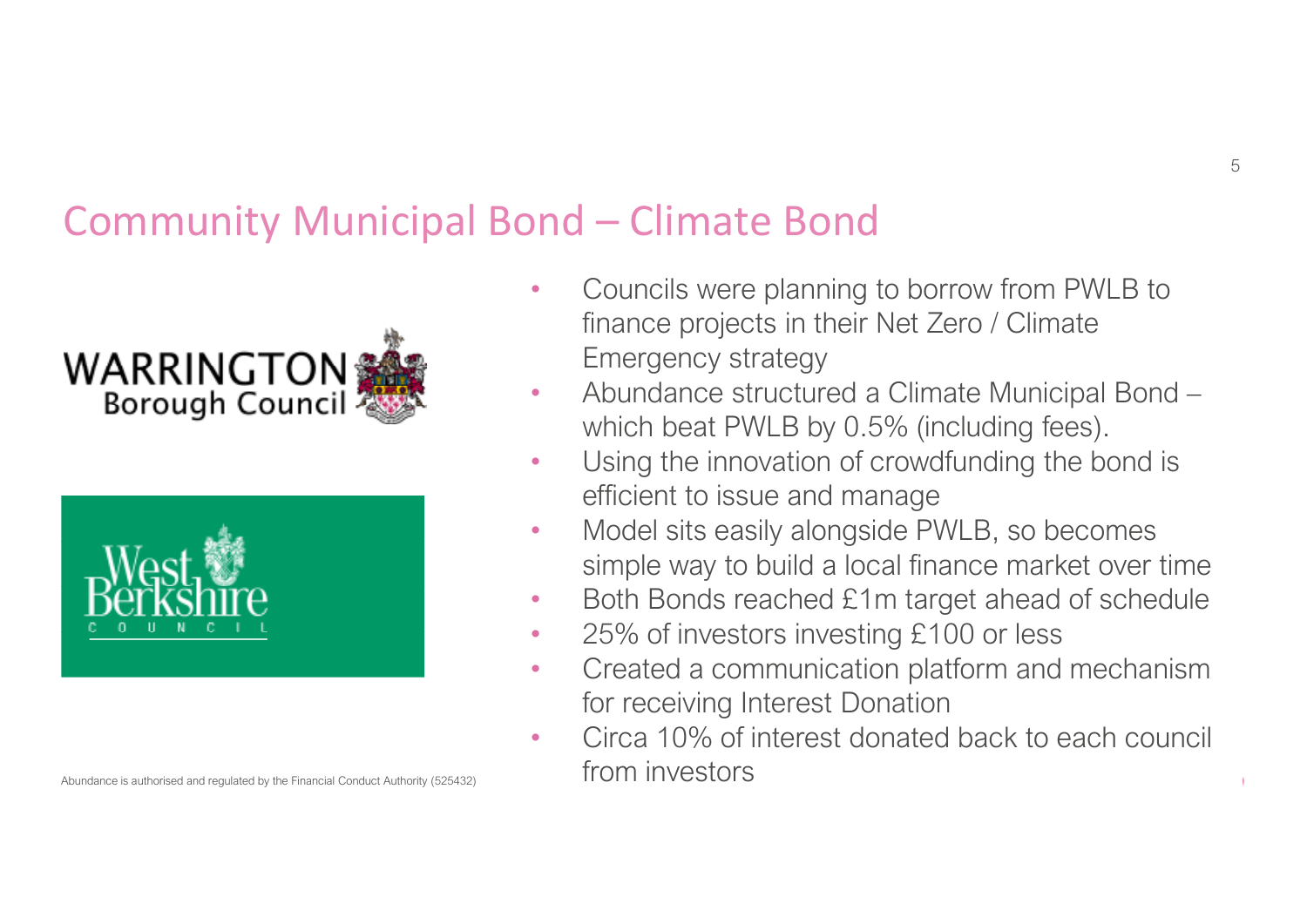#### Community Municipal Bond – Climate Bond





- • Councils were planning to borrow from PWLB to finance projects in their Net Zero / Climate Emergency strategy
- • Abundance structured a Climate Municipal Bond –which beat PWLB by 0.5% (including fees).
- • Using the innovation of crowdfunding the bond is efficient to issue and manage
- Model sits easily alongside PWLB, so becomes •simple way to build a local finance market over time
- Both Bonds reached £1m target ahead of schedule •
- $\bullet$ 25% of investors investing £100 or less
- • Created a communication platform and mechanism for receiving Interest Donation
- Circa 10% of interest donated back to each council •from investors